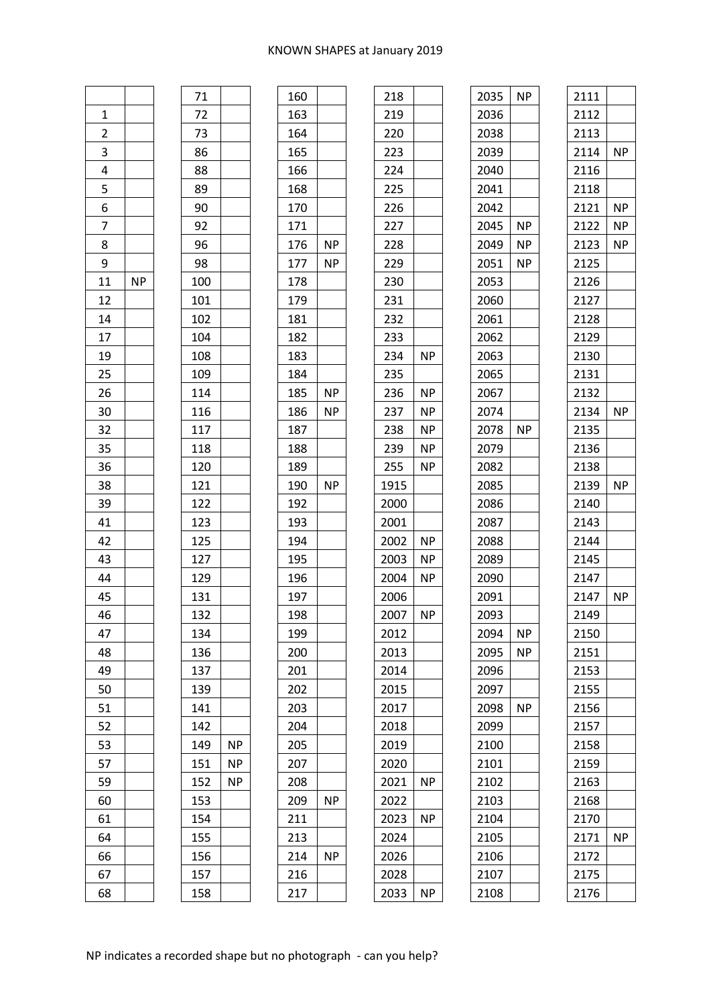| $\mathbf{1}$    |           |  |
|-----------------|-----------|--|
| $\overline{2}$  |           |  |
| $\overline{3}$  |           |  |
| $\overline{4}$  |           |  |
| $rac{5}{2}$     |           |  |
| $\frac{1}{6}$   |           |  |
| $\overline{7}$  |           |  |
| 8               |           |  |
| 9               |           |  |
| 11              | <b>NP</b> |  |
| 12              |           |  |
| 14              |           |  |
| 17              |           |  |
| 19              |           |  |
| $\overline{25}$ |           |  |
| 26              |           |  |
| 30              |           |  |
| 32              |           |  |
| 35              |           |  |
| 36              |           |  |
| 38              |           |  |
| 39              |           |  |
| 41              |           |  |
| 42              |           |  |
| 43              |           |  |
| 44              |           |  |
| 45              |           |  |
| 46              |           |  |
| 47              |           |  |
| 48              |           |  |
| 49              |           |  |
| 50              |           |  |
| 51              |           |  |
| 52              |           |  |
| 53              |           |  |
| 57              |           |  |
| 59              |           |  |
| 60              |           |  |
| 61              |           |  |
| 64              |           |  |
| 66              |           |  |
| 67              |           |  |

| 160 |           |
|-----|-----------|
| 163 |           |
| 164 |           |
| 165 |           |
| 166 |           |
| 168 |           |
| 170 |           |
| 171 |           |
| 176 | ΝP        |
| 177 | <b>NP</b> |
| 178 |           |
| 179 |           |
| 181 |           |
| 182 |           |
| 183 |           |
| 184 |           |
| 185 | <b>NP</b> |
| 186 | ΝP        |
| 187 |           |
| 188 |           |
| 189 |           |
| 190 | <b>NP</b> |
| 192 |           |
| 193 |           |
| 194 |           |
| 195 |           |
| 196 |           |
| 197 |           |
| 198 |           |
| 199 |           |
| 200 |           |
| 201 |           |
| 202 |           |
| 203 |           |
| 204 |           |
| 205 |           |
| 207 |           |
| 208 |           |
| 209 | <b>NP</b> |
| 211 |           |
| 213 |           |
| 214 | <b>NP</b> |
| 216 |           |
| 217 |           |

| 218  |           |  |
|------|-----------|--|
| 219  |           |  |
| 220  |           |  |
| 223  |           |  |
| 224  |           |  |
| 225  |           |  |
| 226  |           |  |
| 227  |           |  |
| 228  |           |  |
| 229  |           |  |
| 230  |           |  |
| 231  |           |  |
| 232  |           |  |
| 233  |           |  |
| 234  | <b>NP</b> |  |
| 235  |           |  |
| 236  | NP        |  |
| 237  | <b>NP</b> |  |
| 238  | <b>NP</b> |  |
| 239  | <b>NP</b> |  |
| 255  | ΝP        |  |
| 1915 |           |  |
| 2000 |           |  |
| 2001 |           |  |
| 2002 | NΡ        |  |
| 2003 | ΝP        |  |
| 2004 | ΝP        |  |
| 2006 |           |  |
| 2007 | <b>NP</b> |  |
| 2012 |           |  |
| 2013 |           |  |
| 2014 |           |  |
| 2015 |           |  |
| 2017 |           |  |
| 2018 |           |  |
| 2019 |           |  |
| 2020 |           |  |
| 2021 | ΝP        |  |
| 2022 |           |  |
| 2023 | <b>NP</b> |  |
| 2024 |           |  |
| 2026 |           |  |
| 2028 |           |  |
| 2033 | ΝP        |  |

| 2035 | ΝP        | 2111 |    |
|------|-----------|------|----|
| 2036 |           | 2112 |    |
| 2038 |           | 2113 |    |
| 2039 |           | 2114 | ΝP |
| 2040 |           | 2116 |    |
| 2041 |           | 2118 |    |
| 2042 |           | 2121 | ΝP |
| 2045 | ΝP        | 2122 | ΝP |
| 2049 | ΝP        | 2123 | ΝP |
| 2051 | ΝP        | 2125 |    |
| 2053 |           | 2126 |    |
| 2060 |           | 2127 |    |
| 2061 |           | 2128 |    |
| 2062 |           | 2129 |    |
| 2063 |           | 2130 |    |
| 2065 |           | 2131 |    |
| 2067 |           | 2132 |    |
| 2074 |           | 2134 | ΝP |
| 2078 | <b>NP</b> | 2135 |    |
| 2079 |           | 2136 |    |
| 2082 |           | 2138 |    |
| 2085 |           | 2139 | ΝP |
| 2086 |           | 2140 |    |
| 2087 |           | 2143 |    |
| 2088 |           | 2144 |    |
| 2089 |           | 2145 |    |
| 2090 |           | 2147 |    |
| 2091 |           | 2147 | ΝP |
| 2093 |           | 2149 |    |
| 2094 | ΝP        | 2150 |    |
| 2095 | ΝP        | 2151 |    |
| 2096 |           | 2153 |    |
| 2097 |           | 2155 |    |
| 2098 | ΝP        | 2156 |    |
| 2099 |           | 2157 |    |
| 2100 |           | 2158 |    |
| 2101 |           | 2159 |    |
| 2102 |           | 2163 |    |
| 2103 |           | 2168 |    |
| 2104 |           | 2170 |    |
| 2105 |           | 2171 | ΝP |
| 2106 |           | 2172 |    |
| 2107 |           | 2175 |    |
| 2108 |           | 2176 |    |
|      |           |      |    |

149 NP NP NP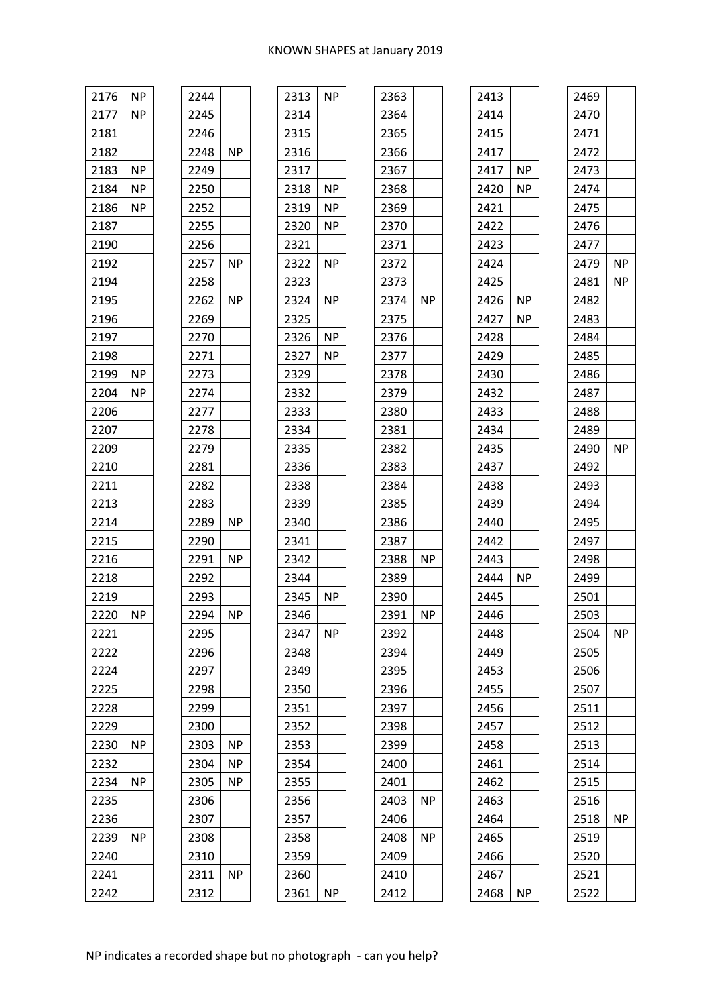| 2176 | <b>NP</b> | 2244 |           | 2313 |
|------|-----------|------|-----------|------|
| 2177 | NP.       | 2245 |           | 2314 |
| 2181 |           | 2246 |           | 2315 |
| 2182 |           | 2248 | <b>NP</b> | 2316 |
| 2183 | ΝP        | 2249 |           | 2317 |
| 2184 | ΝP        | 2250 |           | 2318 |
| 2186 | NP.       | 2252 |           | 2319 |
| 2187 |           | 2255 |           | 2320 |
| 2190 |           | 2256 |           | 2321 |
| 2192 |           | 2257 | NP        | 2322 |
| 2194 |           | 2258 |           | 2323 |
| 2195 |           | 2262 | NP.       | 2324 |
| 2196 |           | 2269 |           | 2325 |
| 2197 |           | 2270 |           | 2326 |
| 2198 |           | 2271 |           | 2327 |
| 2199 | <b>NP</b> | 2273 |           | 2329 |
| 2204 | NP.       | 2274 |           | 2332 |
| 2206 |           | 2277 |           | 2333 |
| 2207 |           | 2278 |           | 2334 |
| 2209 |           | 2279 |           | 2335 |
| 2210 |           | 2281 |           | 2336 |
| 2211 |           | 2282 |           | 2338 |
| 2213 |           | 2283 |           | 2339 |
| 2214 |           | 2289 | NP.       | 2340 |
| 2215 |           | 2290 |           | 2341 |
| 2216 |           | 2291 | <b>NP</b> | 2342 |
| 2218 |           | 2292 |           | 2344 |
| 2219 |           | 2293 |           | 2345 |
| 2220 | ΝP        | 2294 | ΝP        | 2346 |
| 2221 |           | 2295 |           | 2347 |
| 2222 |           | 2296 |           | 2348 |
| 2224 |           | 2297 |           | 2349 |
| 2225 |           | 2298 |           | 2350 |
| 2228 |           | 2299 |           | 2351 |
| 2229 |           | 2300 |           | 2352 |
| 2230 | ΝP        | 2303 | NP.       | 2353 |
| 2232 |           | 2304 | ΝP        | 2354 |
| 2234 | ΝP        | 2305 | ΝP        | 2355 |
| 2235 |           | 2306 |           | 2356 |
| 2236 |           | 2307 |           | 2357 |
| 2239 | ΝP        | 2308 |           | 2358 |
| 2240 |           | 2310 |           | 2359 |
| 2241 |           | 2311 | ΝP        | 2360 |
| 2242 |           | 2312 |           | 2361 |

| 2313 | <b>NP</b> | 2363 |    |
|------|-----------|------|----|
| 2314 |           | 2364 |    |
| 2315 |           | 2365 |    |
| 2316 |           | 2366 |    |
| 2317 |           | 2367 |    |
| 2318 | ΝP        | 2368 |    |
| 2319 | ΝP        | 2369 |    |
| 2320 | ΝP        | 2370 |    |
| 2321 |           | 2371 |    |
| 2322 | ΝP        | 2372 |    |
| 2323 |           | 2373 |    |
| 2324 | ΝP        | 2374 | ΝP |
| 2325 |           | 2375 |    |
| 2326 | ΝP        | 2376 |    |
| 2327 | ΝP        | 2377 |    |
| 2329 |           | 2378 |    |
| 2332 |           | 2379 |    |
| 2333 |           | 2380 |    |
| 2334 |           | 2381 |    |
| 2335 |           | 2382 |    |
| 2336 |           | 2383 |    |
| 2338 |           | 2384 |    |
| 2339 |           | 2385 |    |
| 2340 |           | 2386 |    |
| 2341 |           | 2387 |    |
| 2342 |           | 2388 | ΝP |
| 2344 |           | 2389 |    |
| 2345 | ΝP        | 2390 |    |
| 2346 |           | 2391 | ΝP |
| 2347 | ΝP        | 2392 |    |
| 2348 |           | 2394 |    |
| 2349 |           | 2395 |    |
| 2350 |           | 2396 |    |
| 2351 |           | 2397 |    |
| 2352 |           | 2398 |    |
| 2353 |           | 2399 |    |
| 2354 |           | 2400 |    |
| 2355 |           | 2401 |    |
| 2356 |           | 2403 | ΝP |
| 2357 |           | 2406 |    |
| 2358 |           | 2408 | ΝP |
| 2359 |           | 2409 |    |
| 2360 |           | 2410 |    |
| 2361 | ΝP        | 2412 |    |
|      |           |      |    |

| 2413 |           |
|------|-----------|
| 2414 |           |
| 2415 |           |
| 2417 |           |
| 2417 | <b>NP</b> |
| 2420 | <b>NP</b> |
| 2421 |           |
| 2422 |           |
| 2423 |           |
| 2424 |           |
| 2425 |           |
| 2426 | <b>NP</b> |
| 2427 | ΝP        |
| 2428 |           |
| 2429 |           |
| 2430 |           |
| 2432 |           |
| 2433 |           |
| 2434 |           |
| 2435 |           |
| 2437 |           |
| 2438 |           |
| 2439 |           |
| 2440 |           |
| 2442 |           |
| 2443 |           |
| 2444 | <b>NP</b> |
| 2445 |           |
| 2446 |           |
| 2448 |           |
| 2449 |           |
| 2453 |           |
| 2455 |           |
| 2456 |           |
| 2457 |           |
| 2458 |           |
| 2461 |           |
| 2462 |           |
| 2463 |           |
| 2464 |           |
| 2465 |           |
| 2466 |           |
| 2467 |           |
| 2468 | ΝP        |

| 2470<br>2471<br>2472<br>2473<br>2474<br>2475<br>2476<br>2477<br>2479<br>ΝP<br>2481<br>ΝP<br>2482<br>2483<br>2484<br>2485<br>2486<br>2487<br>2488<br>2489<br>ΝP<br>2490<br>2492<br>2493<br>2494<br>2495<br>2497<br>2498<br>2499<br>2501<br>2503<br>2504<br>ΝP<br>2505<br>2506<br>2507<br>2511<br>2512<br>2513<br>2514<br>2515<br>2516<br>2518<br><b>NP</b><br>2519<br>2520<br>2521<br>2522 | 2469 |  |
|-------------------------------------------------------------------------------------------------------------------------------------------------------------------------------------------------------------------------------------------------------------------------------------------------------------------------------------------------------------------------------------------|------|--|
|                                                                                                                                                                                                                                                                                                                                                                                           |      |  |
|                                                                                                                                                                                                                                                                                                                                                                                           |      |  |
|                                                                                                                                                                                                                                                                                                                                                                                           |      |  |
|                                                                                                                                                                                                                                                                                                                                                                                           |      |  |
|                                                                                                                                                                                                                                                                                                                                                                                           |      |  |
|                                                                                                                                                                                                                                                                                                                                                                                           |      |  |
|                                                                                                                                                                                                                                                                                                                                                                                           |      |  |
|                                                                                                                                                                                                                                                                                                                                                                                           |      |  |
|                                                                                                                                                                                                                                                                                                                                                                                           |      |  |
|                                                                                                                                                                                                                                                                                                                                                                                           |      |  |
|                                                                                                                                                                                                                                                                                                                                                                                           |      |  |
|                                                                                                                                                                                                                                                                                                                                                                                           |      |  |
|                                                                                                                                                                                                                                                                                                                                                                                           |      |  |
|                                                                                                                                                                                                                                                                                                                                                                                           |      |  |
|                                                                                                                                                                                                                                                                                                                                                                                           |      |  |
|                                                                                                                                                                                                                                                                                                                                                                                           |      |  |
|                                                                                                                                                                                                                                                                                                                                                                                           |      |  |
|                                                                                                                                                                                                                                                                                                                                                                                           |      |  |
|                                                                                                                                                                                                                                                                                                                                                                                           |      |  |
|                                                                                                                                                                                                                                                                                                                                                                                           |      |  |
|                                                                                                                                                                                                                                                                                                                                                                                           |      |  |
|                                                                                                                                                                                                                                                                                                                                                                                           |      |  |
|                                                                                                                                                                                                                                                                                                                                                                                           |      |  |
|                                                                                                                                                                                                                                                                                                                                                                                           |      |  |
|                                                                                                                                                                                                                                                                                                                                                                                           |      |  |
|                                                                                                                                                                                                                                                                                                                                                                                           |      |  |
|                                                                                                                                                                                                                                                                                                                                                                                           |      |  |
|                                                                                                                                                                                                                                                                                                                                                                                           |      |  |
|                                                                                                                                                                                                                                                                                                                                                                                           |      |  |
|                                                                                                                                                                                                                                                                                                                                                                                           |      |  |
|                                                                                                                                                                                                                                                                                                                                                                                           |      |  |
|                                                                                                                                                                                                                                                                                                                                                                                           |      |  |
|                                                                                                                                                                                                                                                                                                                                                                                           |      |  |
|                                                                                                                                                                                                                                                                                                                                                                                           |      |  |
|                                                                                                                                                                                                                                                                                                                                                                                           |      |  |
|                                                                                                                                                                                                                                                                                                                                                                                           |      |  |
|                                                                                                                                                                                                                                                                                                                                                                                           |      |  |
|                                                                                                                                                                                                                                                                                                                                                                                           |      |  |
|                                                                                                                                                                                                                                                                                                                                                                                           |      |  |
|                                                                                                                                                                                                                                                                                                                                                                                           |      |  |
|                                                                                                                                                                                                                                                                                                                                                                                           |      |  |
|                                                                                                                                                                                                                                                                                                                                                                                           |      |  |
|                                                                                                                                                                                                                                                                                                                                                                                           |      |  |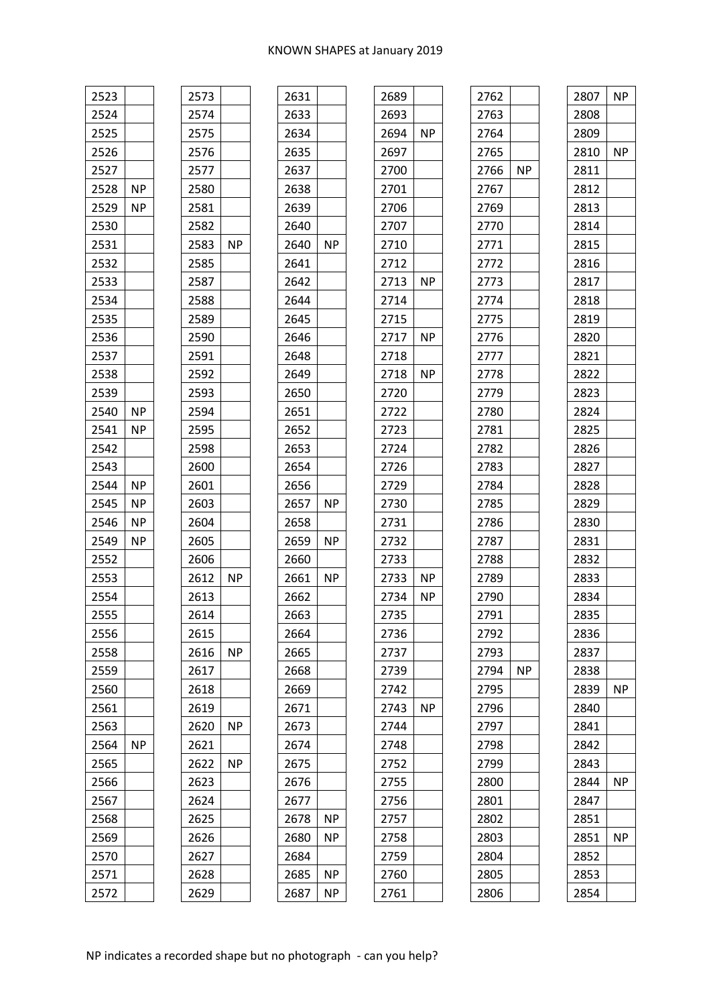| 2523 |           | 2573 |           |
|------|-----------|------|-----------|
| 2524 |           | 2574 |           |
| 2525 |           | 2575 |           |
| 2526 |           | 2576 |           |
| 2527 |           | 2577 |           |
| 2528 | ΝP        | 2580 |           |
| 2529 | ΝP        | 2581 |           |
| 2530 |           | 2582 |           |
| 2531 |           | 2583 | <b>NP</b> |
| 2532 |           | 2585 |           |
| 2533 |           | 2587 |           |
| 2534 |           | 2588 |           |
| 2535 |           | 2589 |           |
| 2536 |           | 2590 |           |
| 2537 |           | 2591 |           |
| 2538 |           | 2592 |           |
| 2539 |           | 2593 |           |
| 2540 | ΝP        | 2594 |           |
| 2541 | ΝP        | 2595 |           |
| 2542 |           | 2598 |           |
| 2543 |           | 2600 |           |
| 2544 | ΝP        | 2601 |           |
| 2545 | ΝP        | 2603 |           |
| 2546 | ΝP        | 2604 |           |
| 2549 | ΝP        | 2605 |           |
| 2552 |           | 2606 |           |
| 2553 |           | 2612 | ΝP        |
| 2554 |           | 2613 |           |
| 2555 |           | 2614 |           |
| 2556 |           | 2615 |           |
| 2558 |           | 2616 | <b>NP</b> |
| 2559 |           | 2617 |           |
| 2560 |           | 2618 |           |
| 2561 |           | 2619 |           |
| 2563 |           | 2620 | ΝP        |
| 2564 | <b>NP</b> | 2621 |           |
| 2565 |           | 2622 | <b>NP</b> |
| 2566 |           | 2623 |           |
| 2567 |           | 2624 |           |
| 2568 |           | 2625 |           |
| 2569 |           | 2626 |           |
| 2570 |           | 2627 |           |
| 2571 |           | 2628 |           |
| 2572 |           | 2629 |           |
|      |           |      |           |

| 2631         |           |
|--------------|-----------|
| 2633         |           |
| 2634         |           |
| 2635         |           |
| 2637         |           |
| 2638         |           |
| 2639         |           |
| 2640         |           |
| 2640         | <b>NP</b> |
| 2641         |           |
| 2642         |           |
| 2644         |           |
| 2645         |           |
| 2646         |           |
| 2648         |           |
| 2649         |           |
| 2650         |           |
| 2651         |           |
| 2652         |           |
| 2653         |           |
| 2654         |           |
| 2656         |           |
| 2657         | ΝP        |
| 2658         |           |
|              |           |
|              | ΝP        |
| 2659         |           |
| 2660         | ΝP        |
| 2661         |           |
| 2662         |           |
| 2663         |           |
| 2664         |           |
| 2665<br>2668 |           |
| 2669         |           |
| 2671         |           |
|              |           |
| 2673         |           |
| 2674         |           |
| 2675         |           |
| 2676         |           |
| 2677         |           |
| 2678         | NΡ        |
| 2680         | ΝP        |
| 2684         |           |
| 2685<br>2687 | ΝP<br>ΝP  |

| 2689 |           |  |
|------|-----------|--|
| 2693 |           |  |
| 2694 | <b>NP</b> |  |
| 2697 |           |  |
| 2700 |           |  |
| 2701 |           |  |
| 2706 |           |  |
| 2707 |           |  |
| 2710 |           |  |
| 2712 |           |  |
| 2713 | ΝP        |  |
| 2714 |           |  |
| 2715 |           |  |
| 2717 | <b>NP</b> |  |
| 2718 |           |  |
| 2718 | <b>NP</b> |  |
| 2720 |           |  |
| 2722 |           |  |
| 2723 |           |  |
| 2724 |           |  |
| 2726 |           |  |
| 2729 |           |  |
| 2730 |           |  |
| 2731 |           |  |
| 2732 |           |  |
| 2733 |           |  |
| 2733 | NΡ        |  |
| 2734 | ΝP        |  |
| 2735 |           |  |
| 2736 |           |  |
| 2737 |           |  |
| 2739 |           |  |
| 2742 |           |  |
| 2743 | <b>NP</b> |  |
| 2744 |           |  |
| 2748 |           |  |
| 2752 |           |  |
| 2755 |           |  |
| 2756 |           |  |
| 2757 |           |  |
| 2758 |           |  |
| 2759 |           |  |
| 2760 |           |  |
| 2761 |           |  |
|      |           |  |

| 2807 | <b>NP</b> |
|------|-----------|
| 2808 |           |
| 2809 |           |
| 2810 | <b>NP</b> |
| 2811 |           |
| 2812 |           |
| 2813 |           |
| 2814 |           |
| 2815 |           |
| 2816 |           |
| 2817 |           |
| 2818 |           |
| 2819 |           |
| 2820 |           |
| 2821 |           |
| 2822 |           |
| 2823 |           |
| 2824 |           |
| 2825 |           |
| 2826 |           |
| 2827 |           |
| 2828 |           |
| 2829 |           |
| 2830 |           |
| 2831 |           |
| 2832 |           |
| 2833 |           |
| 2834 |           |
| 2835 |           |
| 2836 |           |
| 2837 |           |
| 2838 |           |
| 2839 | <b>NP</b> |
| 2840 |           |
| 2841 |           |
| 2842 |           |
| 2843 |           |
| 2844 | <b>NP</b> |
| 2847 |           |
| 2851 |           |
| 2851 | <b>NP</b> |
| 2852 |           |
| 2853 |           |
| 2854 |           |
|      |           |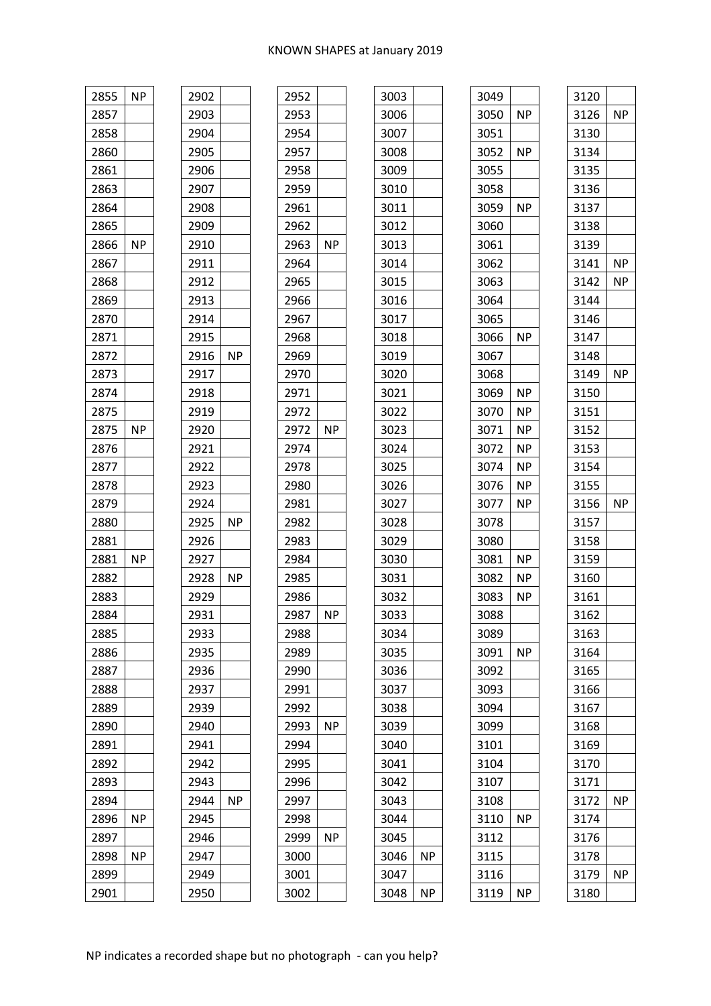| 2855 | <b>NP</b> | 2902 |           | 2952 |           | 3003 |
|------|-----------|------|-----------|------|-----------|------|
| 2857 |           | 2903 |           | 2953 |           | 3006 |
| 2858 |           | 2904 |           | 2954 |           | 3007 |
| 2860 |           | 2905 |           | 2957 |           | 3008 |
| 2861 |           | 2906 |           | 2958 |           | 3009 |
| 2863 |           | 2907 |           | 2959 |           | 3010 |
| 2864 |           | 2908 |           | 2961 |           | 3011 |
| 2865 |           | 2909 |           | 2962 |           | 3012 |
| 2866 | <b>NP</b> | 2910 |           | 2963 | <b>NP</b> | 3013 |
| 2867 |           | 2911 |           | 2964 |           | 3014 |
| 2868 |           | 2912 |           | 2965 |           | 3015 |
| 2869 |           | 2913 |           | 2966 |           | 3016 |
| 2870 |           | 2914 |           | 2967 |           | 3017 |
| 2871 |           | 2915 |           | 2968 |           | 3018 |
| 2872 |           | 2916 | <b>NP</b> | 2969 |           | 3019 |
| 2873 |           | 2917 |           | 2970 |           | 3020 |
| 2874 |           | 2918 |           | 2971 |           | 3021 |
| 2875 |           | 2919 |           | 2972 |           | 3022 |
| 2875 | <b>NP</b> | 2920 |           | 2972 | <b>NP</b> | 3023 |
| 2876 |           | 2921 |           | 2974 |           | 3024 |
| 2877 |           | 2922 |           | 2978 |           | 3025 |
| 2878 |           | 2923 |           | 2980 |           | 3026 |
| 2879 |           | 2924 |           | 2981 |           | 3027 |
| 2880 |           | 2925 | <b>NP</b> | 2982 |           | 3028 |
| 2881 |           | 2926 |           | 2983 |           | 3029 |
| 2881 | <b>NP</b> | 2927 |           | 2984 |           | 3030 |
| 2882 |           | 2928 | <b>NP</b> | 2985 |           | 3031 |
| 2883 |           | 2929 |           | 2986 |           | 3032 |
| 2884 |           | 2931 |           | 2987 | <b>NP</b> | 3033 |
| 2885 |           | 2933 |           | 2988 |           | 3034 |
| 2886 |           | 2935 |           | 2989 |           | 3035 |
| 2887 |           | 2936 |           | 2990 |           | 3036 |
| 2888 |           | 2937 |           | 2991 |           | 3037 |
| 2889 |           | 2939 |           | 2992 |           | 3038 |
| 2890 |           | 2940 |           | 2993 | <b>NP</b> | 3039 |
| 2891 |           | 2941 |           | 2994 |           | 3040 |
| 2892 |           | 2942 |           | 2995 |           | 3041 |
| 2893 |           | 2943 |           | 2996 |           | 3042 |
| 2894 |           | 2944 | <b>NP</b> | 2997 |           | 3043 |
| 2896 | NΡ        | 2945 |           | 2998 |           | 3044 |
| 2897 |           | 2946 |           | 2999 | <b>NP</b> | 3045 |
| 2898 | ΝP        | 2947 |           | 3000 |           | 3046 |
| 2899 |           | 2949 |           | 3001 |           | 3047 |
| 2901 |           | 2950 |           | 3002 |           | 3048 |

| 3049 |           |
|------|-----------|
| 3050 | <b>NP</b> |
| 3051 |           |
| 3052 | <b>NP</b> |
| 3055 |           |
| 3058 |           |
| 3059 | <b>NP</b> |
| 3060 |           |
| 3061 |           |
| 3062 |           |
| 3063 |           |
| 3064 |           |
| 3065 |           |
| 3066 | <b>NP</b> |
| 3067 |           |
| 3068 |           |
| 3069 | NP        |
| 3070 | ΝP        |
| 3071 | <b>NP</b> |
| 3072 | <b>NP</b> |
| 3074 | ΝP        |
| 3076 | NP.       |
| 3077 | ΝP        |
| 3078 |           |
| 3080 |           |
| 3081 | <b>NP</b> |
| 3082 | ΝP        |
| 3083 | ΝP        |
| 3088 |           |
| 3089 |           |
| 3091 | <b>NP</b> |
| 3092 |           |
| 3093 |           |
| 3094 |           |
| 3099 |           |
| 3101 |           |
| 3104 |           |
| 3107 |           |
| 3108 |           |
| 3110 | ΝP        |
| 3112 |           |
| 3115 |           |
| 3116 |           |
| 3119 | ΝP        |
|      |           |

 $NP$ 

 $NP$ 

| 3120 |           |
|------|-----------|
| 3126 | <b>NP</b> |
| 3130 |           |
| 3134 |           |
| 3135 |           |
| 3136 |           |
| 3137 |           |
| 3138 |           |
| 3139 |           |
| 3141 | <b>NP</b> |
| 3142 | NP        |
| 3144 |           |
| 3146 |           |
| 3147 |           |
| 3148 |           |
| 3149 | <b>NP</b> |
| 3150 |           |
| 3151 |           |
| 3152 |           |
| 3153 |           |
| 3154 |           |
| 3155 |           |
| 3156 | <b>NP</b> |
| 3157 |           |
| 3158 |           |
| 3159 |           |
| 3160 |           |
| 3161 |           |
| 3162 |           |
| 3163 |           |
| 3164 |           |
| 3165 |           |
| 3166 |           |
| 3167 |           |
| 3168 |           |
| 3169 |           |
| 3170 |           |
| 3171 |           |
| 3172 | ΝP        |
| 3174 |           |
| 3176 |           |
| 3178 |           |
| 3179 | <b>NP</b> |
| 3180 |           |
|      |           |